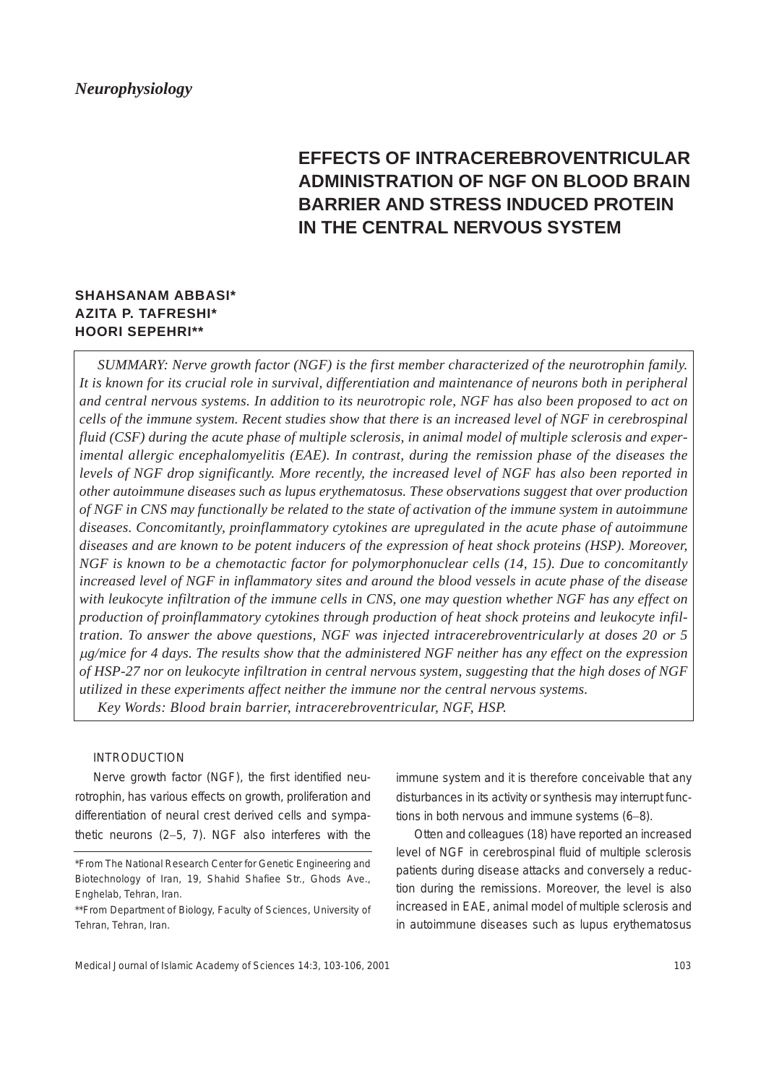# **EFFECTS OF INTRACEREBROVENTRICULAR ADMINISTRATION OF NGF ON BLOOD BRAIN BARRIER AND STRESS INDUCED PROTEIN IN THE CENTRAL NERVOUS SYSTEM**

# **SHAHSANAM ABBASI\* AZITA P. TAFRESHI\* HOORI SEPEHRI\*\***

*SUMMARY: Nerve growth factor (NGF) is the first member characterized of the neurotrophin family. It is known for its crucial role in survival, differentiation and maintenance of neurons both in peripheral and central nervous systems. In addition to its neurotropic role, NGF has also been proposed to act on cells of the immune system. Recent studies show that there is an increased level of NGF in cerebrospinal fluid (CSF) during the acute phase of multiple sclerosis, in animal model of multiple sclerosis and experimental allergic encephalomyelitis (EAE). In contrast, during the remission phase of the diseases the levels of NGF drop significantly. More recently, the increased level of NGF has also been reported in other autoimmune diseases such as lupus erythematosus. These observations suggest that over production of NGF in CNS may functionally be related to the state of activation of the immune system in autoimmune diseases. Concomitantly, proinflammatory cytokines are upregulated in the acute phase of autoimmune diseases and are known to be potent inducers of the expression of heat shock proteins (HSP). Moreover, NGF is known to be a chemotactic factor for polymorphonuclear cells (14, 15). Due to concomitantly increased level of NGF in inflammatory sites and around the blood vessels in acute phase of the disease with leukocyte infiltration of the immune cells in CNS, one may question whether NGF has any effect on production of proinflammatory cytokines through production of heat shock proteins and leukocyte infiltration. To answer the above questions, NGF was injected intracerebroventricularly at doses 20* ο*r 5* <sup>µ</sup>*g/mice for 4 days. The results show that the administered NGF neither has any effect on the expression of HSP-27 nor on leukocyte infiltration in central nervous system, suggesting that the high doses of NGF utilized in these experiments affect neither the immune nor the central nervous systems. Key Words: Blood brain barrier, intracerebroventricular, NGF, HSP.*

### INTRODUCTION

Nerve growth factor (NGF), the first identified neurotrophin, has various effects on growth, proliferation and differentiation of neural crest derived cells and sympathetic neurons (2−5, 7). NGF also interferes with the immune system and it is therefore conceivable that any disturbances in its activity or synthesis may interrupt functions in both nervous and immune systems (6−8).

Otten and colleagues (18) have reported an increased level of NGF in cerebrospinal fluid of multiple sclerosis patients during disease attacks and conversely a reduction during the remissions. Moreover, the level is also increased in EAE, animal model of multiple sclerosis and in autoimmune diseases such as lupus erythematosus

<sup>\*</sup>From The National Research Center for Genetic Engineering and Biotechnology of Iran, 19, Shahid Shafiee Str., Ghods Ave., Enghelab, Tehran, Iran.

<sup>\*\*</sup>From Department of Biology, Faculty of Sciences, University of Tehran, Tehran, Iran.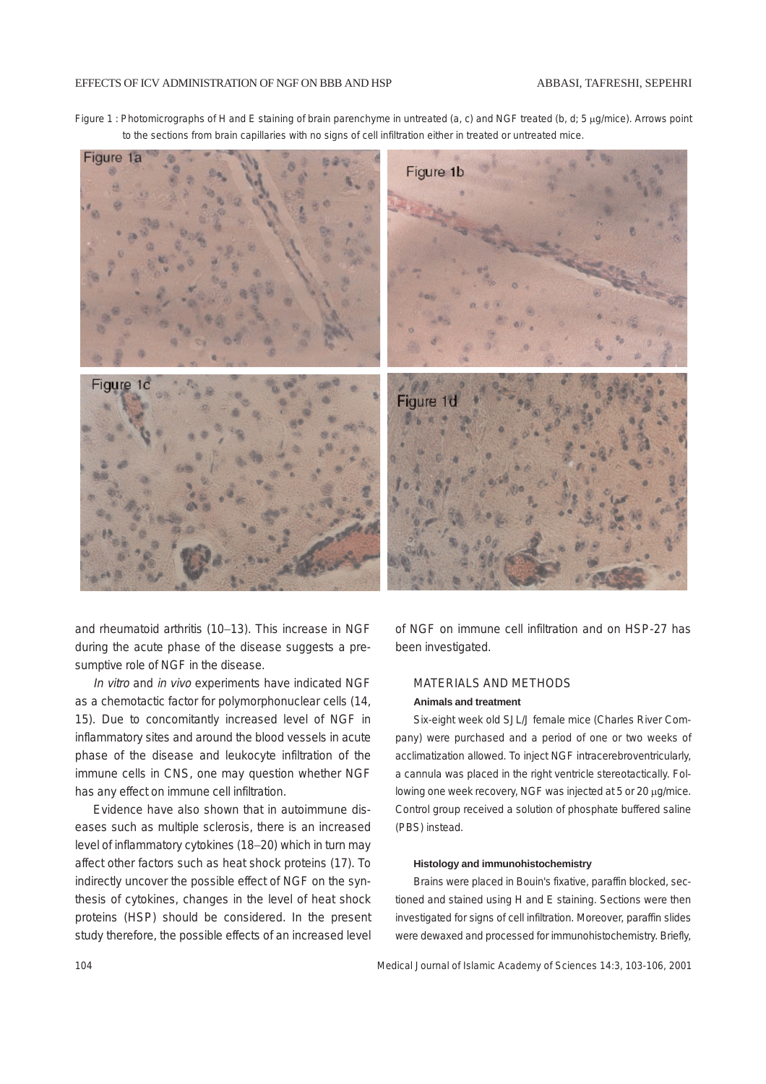

Figure 1 : Photomicrographs of H and E staining of brain parenchyme in untreated (a, c) and NGF treated (b, d; 5 µg/mice). Arrows point to the sections from brain capillaries with no signs of cell infiltration either in treated or untreated mice.

and rheumatoid arthritis (10−13). This increase in NGF during the acute phase of the disease suggests a presumptive role of NGF in the disease.

In vitro and in vivo experiments have indicated NGF as a chemotactic factor for polymorphonuclear cells (14, 15). Due to concomitantly increased level of NGF in inflammatory sites and around the blood vessels in acute phase of the disease and leukocyte infiltration of the immune cells in CNS, one may question whether NGF has any effect on immune cell infiltration.

Evidence have also shown that in autoimmune diseases such as multiple sclerosis, there is an increased level of inflammatory cytokines (18−20) which in turn may affect other factors such as heat shock proteins (17). To indirectly uncover the possible effect of NGF on the synthesis of cytokines, changes in the level of heat shock proteins (HSP) should be considered. In the present study therefore, the possible effects of an increased level of NGF on immune cell infiltration and on HSP-27 has been investigated.

# MATERIALS AND METHODS **Animals and treatment**

Six-eight week old SJL/J female mice (Charles River Company) were purchased and a period of one or two weeks of acclimatization allowed. To inject NGF intracerebroventricularly, a cannula was placed in the right ventricle stereotactically. Following one week recovery, NGF was injected at 5 or 20 µg/mice. Control group received a solution of phosphate buffered saline (PBS) instead.

## **Histology and immunohistochemistry**

Brains were placed in Bouin's fixative, paraffin blocked, sectioned and stained using H and E staining. Sections were then investigated for signs of cell infiltration. Moreover, paraffin slides were dewaxed and processed for immunohistochemistry. Briefly,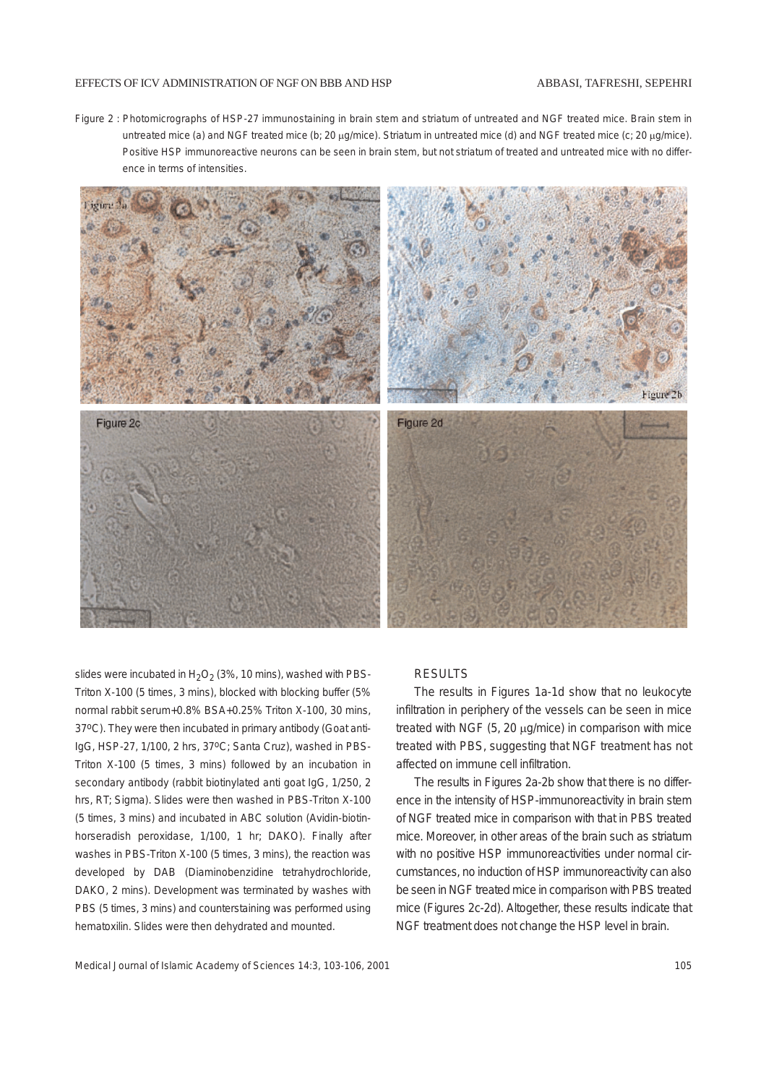#### EFFECTS OF ICV ADMINISTRATION OF NGF ON BBB AND HSP

#### ABBASI, TAFRESHI, SEPEHRI

Figure 2 : Photomicrographs of HSP-27 immunostaining in brain stem and striatum of untreated and NGF treated mice. Brain stem in untreated mice (a) and NGF treated mice (b; 20 µg/mice). Striatum in untreated mice (d) and NGF treated mice (c; 20 µg/mice). Positive HSP immunoreactive neurons can be seen in brain stem, but not striatum of treated and untreated mice with no difference in terms of intensities.



slides were incubated in  $H_2O_2$  (3%, 10 mins), washed with PBS-Triton X-100 (5 times, 3 mins), blocked with blocking buffer (5% normal rabbit serum+0.8% BSA+0.25% Triton X-100, 30 mins, 37oC). They were then incubated in primary antibody (Goat anti-IgG, HSP-27, 1/100, 2 hrs, 37°C; Santa Cruz), washed in PBS-Triton X-100 (5 times, 3 mins) followed by an incubation in secondary antibody (rabbit biotinylated anti goat IgG, 1/250, 2 hrs, RT; Sigma). Slides were then washed in PBS-Triton X-100 (5 times, 3 mins) and incubated in ABC solution (Avidin-biotinhorseradish peroxidase, 1/100, 1 hr; DAKO). Finally after washes in PBS-Triton X-100 (5 times, 3 mins), the reaction was developed by DAB (Diaminobenzidine tetrahydrochloride, DAKO, 2 mins). Development was terminated by washes with PBS (5 times, 3 mins) and counterstaining was performed using hematoxilin. Slides were then dehydrated and mounted.

#### RESULTS

The results in Figures 1a-1d show that no leukocyte infiltration in periphery of the vessels can be seen in mice treated with NGF  $(5, 20 \mu g/mice)$  in comparison with mice treated with PBS, suggesting that NGF treatment has not affected on immune cell infiltration.

The results in Figures 2a-2b show that there is no difference in the intensity of HSP-immunoreactivity in brain stem of NGF treated mice in comparison with that in PBS treated mice. Moreover, in other areas of the brain such as striatum with no positive HSP immunoreactivities under normal circumstances, no induction of HSP immunoreactivity can also be seen in NGF treated mice in comparison with PBS treated mice (Figures 2c-2d). Altogether, these results indicate that NGF treatment does not change the HSP level in brain.